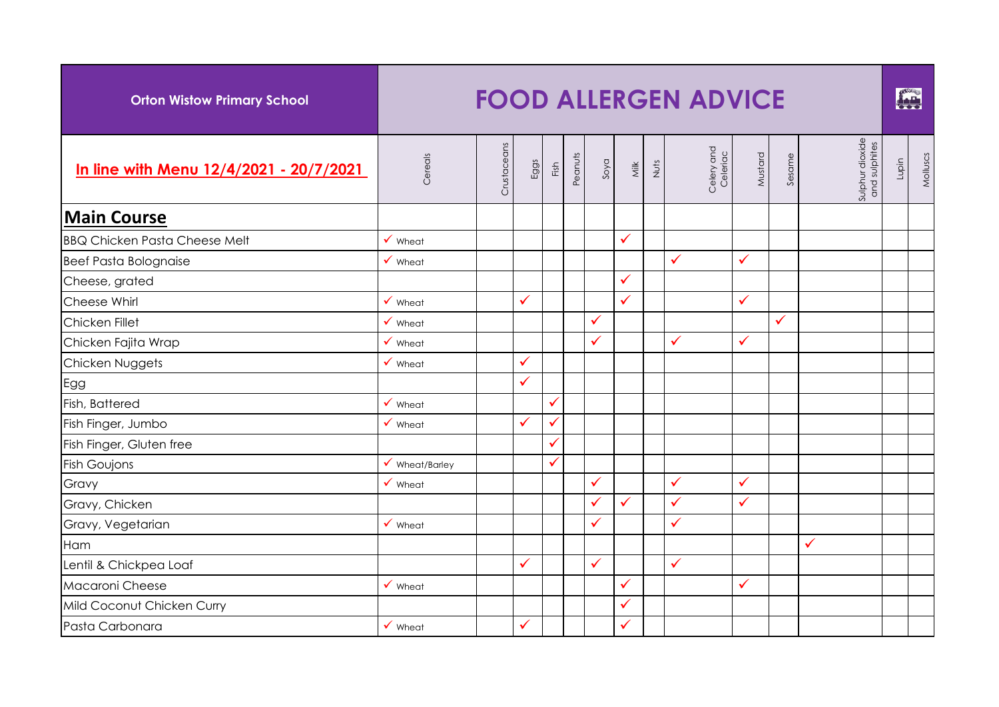| <b>Orton Wistow Primary School</b>      | <b>FOOD ALLERGEN ADVICE</b> |             |              |      |         |      |              |      |                        |              |              |                                  |       |          |
|-----------------------------------------|-----------------------------|-------------|--------------|------|---------|------|--------------|------|------------------------|--------------|--------------|----------------------------------|-------|----------|
| In line with Menu 12/4/2021 - 20/7/2021 | Cereals                     | Crustaceans | Eggs         | Fish | Peanuts | Soya | <b>Milk</b>  | Nuts | Celery and<br>Celeriac | Mustard      | Sesame       | Sulphur dioxide<br>and sulphites | Lupin | Molluscs |
| <b>Main Course</b>                      |                             |             |              |      |         |      |              |      |                        |              |              |                                  |       |          |
| <b>BBQ Chicken Pasta Cheese Melt</b>    | $\checkmark$ Wheat          |             |              |      |         |      | $\checkmark$ |      |                        |              |              |                                  |       |          |
| <b>Beef Pasta Bolognaise</b>            | $\checkmark$ Wheat          |             |              |      |         |      |              |      | $\checkmark$           | $\checkmark$ |              |                                  |       |          |
| Cheese, grated                          |                             |             |              |      |         |      | $\checkmark$ |      |                        |              |              |                                  |       |          |
| Cheese Whirl                            | $\checkmark$ Wheat          |             | ✓            |      |         |      | ✓            |      |                        | $\checkmark$ |              |                                  |       |          |
| Chicken Fillet                          | $\checkmark$ Wheat          |             |              |      |         | ✓    |              |      |                        |              | $\checkmark$ |                                  |       |          |
| Chicken Fajita Wrap                     | $\checkmark$ Wheat          |             |              |      |         | ✓    |              |      | $\checkmark$           | $\checkmark$ |              |                                  |       |          |
| Chicken Nuggets                         | $\checkmark$ Wheat          |             | ✓            |      |         |      |              |      |                        |              |              |                                  |       |          |
| Egg                                     |                             |             | $\checkmark$ |      |         |      |              |      |                        |              |              |                                  |       |          |
| Fish, Battered                          | $\checkmark$ Wheat          |             |              | ✓    |         |      |              |      |                        |              |              |                                  |       |          |
| Fish Finger, Jumbo                      | $\checkmark$ Wheat          |             | ✓            |      |         |      |              |      |                        |              |              |                                  |       |          |
| Fish Finger, Gluten free                |                             |             |              |      |         |      |              |      |                        |              |              |                                  |       |          |
| <b>Fish Goujons</b>                     | $\checkmark$ Wheat/Barley   |             |              | ✓    |         |      |              |      |                        |              |              |                                  |       |          |
| Gravy                                   | $\checkmark$ Wheat          |             |              |      |         | ✓    |              |      | $\checkmark$           | $\checkmark$ |              |                                  |       |          |
| Gravy, Chicken                          |                             |             |              |      |         |      | $\checkmark$ |      | $\checkmark$           | $\checkmark$ |              |                                  |       |          |
| Gravy, Vegetarian                       | $\checkmark$ Wheat          |             |              |      |         | ✓    |              |      | $\checkmark$           |              |              |                                  |       |          |
| Ham                                     |                             |             |              |      |         |      |              |      |                        |              |              | ✓                                |       |          |
| Lentil & Chickpea Loaf                  |                             |             | $\checkmark$ |      |         | ✓    |              |      | $\checkmark$           |              |              |                                  |       |          |
| Macaroni Cheese                         | $\checkmark$ Wheat          |             |              |      |         |      | $\checkmark$ |      |                        | $\checkmark$ |              |                                  |       |          |
| Mild Coconut Chicken Curry              |                             |             |              |      |         |      | ✓            |      |                        |              |              |                                  |       |          |
| Pasta Carbonara                         | $\checkmark$ Wheat          |             | $\checkmark$ |      |         |      | ✓            |      |                        |              |              |                                  |       |          |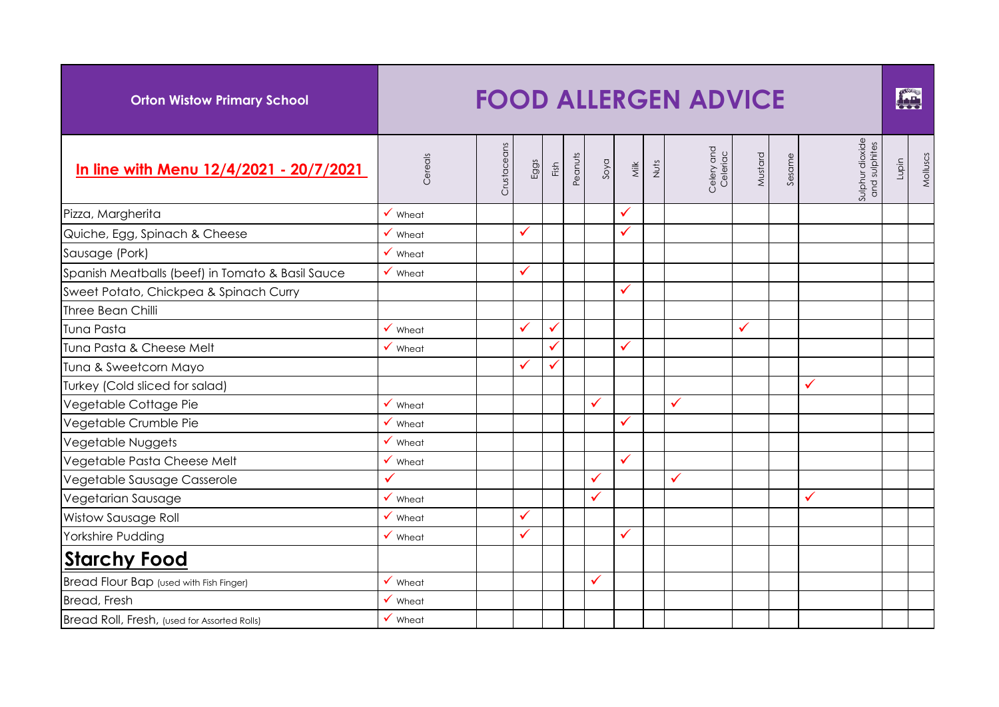| <b>Orton Wistow Primary School</b>               | <b>FOOD ALLERGEN ADVICE</b> |             |      |              |         |              |                         |      |                        |              |        |                                  |       |          |
|--------------------------------------------------|-----------------------------|-------------|------|--------------|---------|--------------|-------------------------|------|------------------------|--------------|--------|----------------------------------|-------|----------|
| In line with Menu 12/4/2021 - 20/7/2021          | Cereals                     | Crustaceans | Eggs | Fish         | Peanuts | Soya         | $\overline{\mathsf{M}}$ | Nuts | Celery and<br>Celeriac | Mustard      | Sesame | Sulphur dioxide<br>and sulphites | Lupin | Molluscs |
| Pizza, Margherita                                | $\checkmark$ Wheat          |             |      |              |         |              | $\checkmark$            |      |                        |              |        |                                  |       |          |
| Quiche, Egg, Spinach & Cheese                    | $\checkmark$ Wheat          |             | ✓    |              |         |              | $\checkmark$            |      |                        |              |        |                                  |       |          |
| Sausage (Pork)                                   | $\checkmark$ Wheat          |             |      |              |         |              |                         |      |                        |              |        |                                  |       |          |
| Spanish Meatballs (beef) in Tomato & Basil Sauce | $\checkmark$ Wheat          |             |      |              |         |              |                         |      |                        |              |        |                                  |       |          |
| Sweet Potato, Chickpea & Spinach Curry           |                             |             |      |              |         |              | $\checkmark$            |      |                        |              |        |                                  |       |          |
| Three Bean Chilli                                |                             |             |      |              |         |              |                         |      |                        |              |        |                                  |       |          |
| Tuna Pasta                                       | $\checkmark$ Wheat          |             |      | $\checkmark$ |         |              |                         |      |                        | $\checkmark$ |        |                                  |       |          |
| Tuna Pasta & Cheese Melt                         | $\checkmark$ Wheat          |             |      |              |         |              | ✓                       |      |                        |              |        |                                  |       |          |
| Tuna & Sweetcorn Mayo                            |                             |             |      |              |         |              |                         |      |                        |              |        |                                  |       |          |
| Turkey (Cold sliced for salad)                   |                             |             |      |              |         |              |                         |      |                        |              |        | ✓                                |       |          |
| Vegetable Cottage Pie                            | $\checkmark$ Wheat          |             |      |              |         | ✓            |                         |      | $\checkmark$           |              |        |                                  |       |          |
| Vegetable Crumble Pie                            | $\checkmark$ Wheat          |             |      |              |         |              | ✓                       |      |                        |              |        |                                  |       |          |
| Vegetable Nuggets                                | $\checkmark$ Wheat          |             |      |              |         |              |                         |      |                        |              |        |                                  |       |          |
| Vegetable Pasta Cheese Melt                      | $\checkmark$ Wheat          |             |      |              |         |              | $\checkmark$            |      |                        |              |        |                                  |       |          |
| Vegetable Sausage Casserole                      | ✓                           |             |      |              |         | ✓            |                         |      | $\checkmark$           |              |        |                                  |       |          |
| Vegetarian Sausage                               | $\checkmark$ Wheat          |             |      |              |         | ✓            |                         |      |                        |              |        | ✓                                |       |          |
| Wistow Sausage Roll                              | $\checkmark$ Wheat          |             | ✓    |              |         |              |                         |      |                        |              |        |                                  |       |          |
| Yorkshire Pudding                                | $\checkmark$ Wheat          |             | ✓    |              |         |              | ✓                       |      |                        |              |        |                                  |       |          |
| <b>Starchy Food</b>                              |                             |             |      |              |         |              |                         |      |                        |              |        |                                  |       |          |
| <b>Bread Flour Bap</b> (used with Fish Finger)   | $\checkmark$ Wheat          |             |      |              |         | $\checkmark$ |                         |      |                        |              |        |                                  |       |          |
| <b>Bread, Fresh</b>                              | $\checkmark$ Wheat          |             |      |              |         |              |                         |      |                        |              |        |                                  |       |          |
| Bread Roll, Fresh, (used for Assorted Rolls)     | $\checkmark$ Wheat          |             |      |              |         |              |                         |      |                        |              |        |                                  |       |          |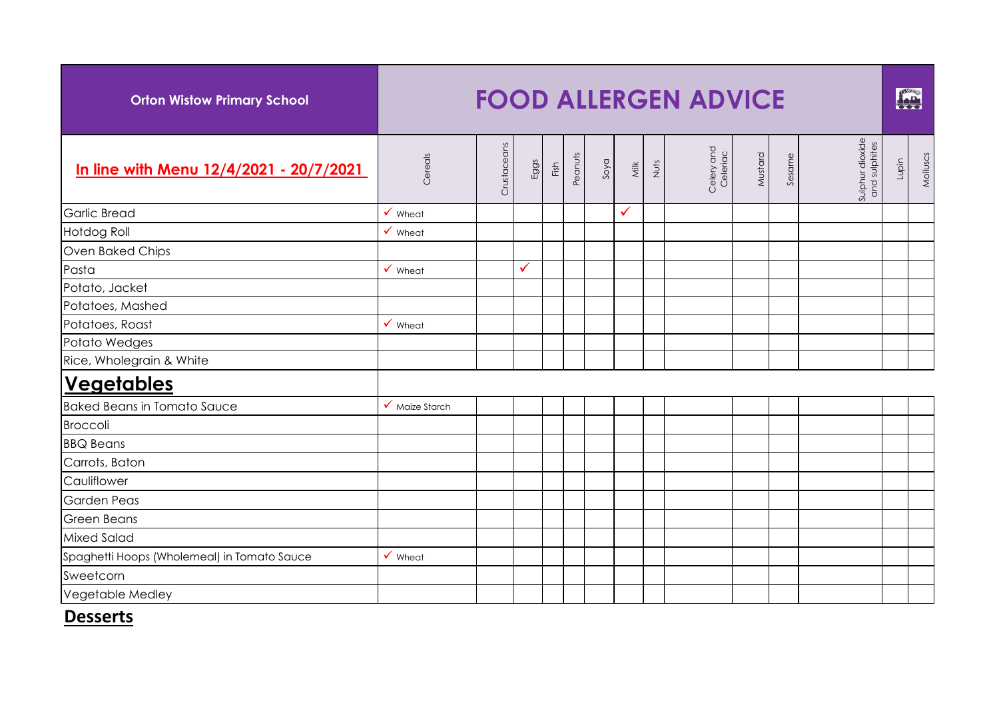| <b>Orton Wistow Primary School</b>          | <b>FOOD ALLERGEN ADVICE</b>       |             |              |      |         |      |      |      |                        |         |        |                                  |       |          |
|---------------------------------------------|-----------------------------------|-------------|--------------|------|---------|------|------|------|------------------------|---------|--------|----------------------------------|-------|----------|
| In line with Menu 12/4/2021 - 20/7/2021     | Cereals                           | Crustaceans | Eggs         | Fish | Peanuts | Soya | Nilk | Nuts | Celery and<br>Celeriac | Mustard | Sesame | Sulphur dioxide<br>and sulphites | Lupin | Molluscs |
| <b>Garlic Bread</b>                         | $\checkmark$ Wheat                |             |              |      |         |      | ✓    |      |                        |         |        |                                  |       |          |
| <b>Hotdog Roll</b>                          | $\checkmark$ Wheat                |             |              |      |         |      |      |      |                        |         |        |                                  |       |          |
| Oven Baked Chips                            |                                   |             |              |      |         |      |      |      |                        |         |        |                                  |       |          |
| Pasta                                       | $\checkmark$ Wheat                |             | $\checkmark$ |      |         |      |      |      |                        |         |        |                                  |       |          |
| Potato, Jacket                              |                                   |             |              |      |         |      |      |      |                        |         |        |                                  |       |          |
| Potatoes, Mashed                            |                                   |             |              |      |         |      |      |      |                        |         |        |                                  |       |          |
| Potatoes, Roast                             | $\checkmark$ Wheat                |             |              |      |         |      |      |      |                        |         |        |                                  |       |          |
| Potato Wedges                               |                                   |             |              |      |         |      |      |      |                        |         |        |                                  |       |          |
| Rice, Wholegrain & White                    |                                   |             |              |      |         |      |      |      |                        |         |        |                                  |       |          |
| <b>Vegetables</b>                           |                                   |             |              |      |         |      |      |      |                        |         |        |                                  |       |          |
| <b>Baked Beans in Tomato Sauce</b>          | $\sqrt{\phantom{a}}$ Maize Starch |             |              |      |         |      |      |      |                        |         |        |                                  |       |          |
| <b>Broccoli</b>                             |                                   |             |              |      |         |      |      |      |                        |         |        |                                  |       |          |
| <b>BBQ Beans</b>                            |                                   |             |              |      |         |      |      |      |                        |         |        |                                  |       |          |
| Carrots, Baton                              |                                   |             |              |      |         |      |      |      |                        |         |        |                                  |       |          |
| Cauliflower                                 |                                   |             |              |      |         |      |      |      |                        |         |        |                                  |       |          |
| <b>Garden Peas</b>                          |                                   |             |              |      |         |      |      |      |                        |         |        |                                  |       |          |
| <b>Green Beans</b>                          |                                   |             |              |      |         |      |      |      |                        |         |        |                                  |       |          |
| <b>Mixed Salad</b>                          |                                   |             |              |      |         |      |      |      |                        |         |        |                                  |       |          |
| Spaghetti Hoops (Wholemeal) in Tomato Sauce | $\checkmark$ Wheat                |             |              |      |         |      |      |      |                        |         |        |                                  |       |          |
| Sweetcorn                                   |                                   |             |              |      |         |      |      |      |                        |         |        |                                  |       |          |
| Vegetable Medley                            |                                   |             |              |      |         |      |      |      |                        |         |        |                                  |       |          |

## **Desserts**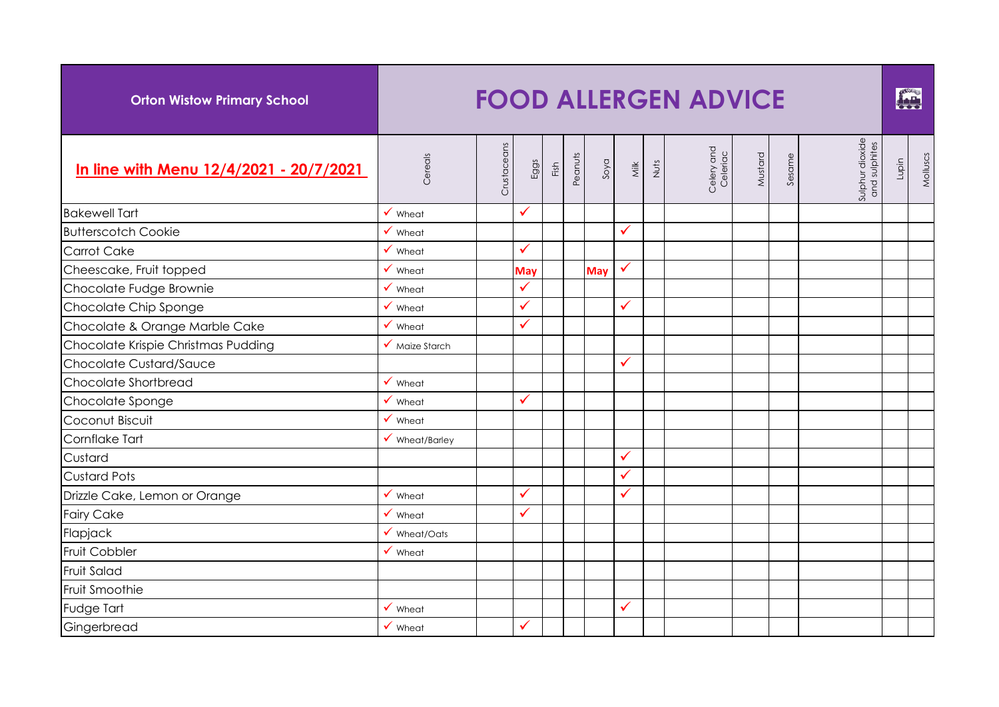| <b>Orton Wistow Primary School</b>      | <b>FOOD ALLERGEN ADVICE</b>       |             |              |      |         |            |              |      |                        |         |        |                                  |       |          |
|-----------------------------------------|-----------------------------------|-------------|--------------|------|---------|------------|--------------|------|------------------------|---------|--------|----------------------------------|-------|----------|
| In line with Menu 12/4/2021 - 20/7/2021 | Cereals                           | Crustaceans | Eggs         | Fish | Peanuts | Soya       | <b>Milk</b>  | Nuts | Celery and<br>Celeriac | Mustard | Sesame | Sulphur dioxide<br>and sulphites | Lupin | Molluscs |
| <b>Bakewell Tart</b>                    | $\checkmark$ Wheat                |             | $\checkmark$ |      |         |            |              |      |                        |         |        |                                  |       |          |
| <b>Butterscotch Cookie</b>              | $\checkmark$ Wheat                |             |              |      |         |            | $\checkmark$ |      |                        |         |        |                                  |       |          |
| <b>Carrot Cake</b>                      | $\checkmark$ Wheat                |             | $\checkmark$ |      |         |            |              |      |                        |         |        |                                  |       |          |
| Cheescake, Fruit topped                 | $\checkmark$ Wheat                |             | May          |      |         | <b>May</b> | $\checkmark$ |      |                        |         |        |                                  |       |          |
| Chocolate Fudge Brownie                 | $\checkmark$ Wheat                |             | $\checkmark$ |      |         |            |              |      |                        |         |        |                                  |       |          |
| Chocolate Chip Sponge                   | $\checkmark$ Wheat                |             | $\checkmark$ |      |         |            | ✓            |      |                        |         |        |                                  |       |          |
| Chocolate & Orange Marble Cake          | $\checkmark$ Wheat                |             | $\checkmark$ |      |         |            |              |      |                        |         |        |                                  |       |          |
| Chocolate Krispie Christmas Pudding     | $\sqrt{\phantom{a}}$ Maize Starch |             |              |      |         |            |              |      |                        |         |        |                                  |       |          |
| Chocolate Custard/Sauce                 |                                   |             |              |      |         |            | ✓            |      |                        |         |        |                                  |       |          |
| Chocolate Shortbread                    | $\checkmark$ Wheat                |             |              |      |         |            |              |      |                        |         |        |                                  |       |          |
| Chocolate Sponge                        | $\checkmark$ Wheat                |             | ✓            |      |         |            |              |      |                        |         |        |                                  |       |          |
| Coconut Biscuit                         | $\checkmark$ Wheat                |             |              |      |         |            |              |      |                        |         |        |                                  |       |          |
| Cornflake Tart                          | $\checkmark$ Wheat/Barley         |             |              |      |         |            |              |      |                        |         |        |                                  |       |          |
| Custard                                 |                                   |             |              |      |         |            | ✓            |      |                        |         |        |                                  |       |          |
| <b>Custard Pots</b>                     |                                   |             |              |      |         |            | $\checkmark$ |      |                        |         |        |                                  |       |          |
| Drizzle Cake, Lemon or Orange           | $\checkmark$ Wheat                |             | ✓            |      |         |            | ✓            |      |                        |         |        |                                  |       |          |
| <b>Fairy Cake</b>                       | $\checkmark$ Wheat                |             | $\checkmark$ |      |         |            |              |      |                        |         |        |                                  |       |          |
| Flapjack                                | $\checkmark$ Wheat/Oats           |             |              |      |         |            |              |      |                        |         |        |                                  |       |          |
| <b>Fruit Cobbler</b>                    | $\checkmark$ Wheat                |             |              |      |         |            |              |      |                        |         |        |                                  |       |          |
| <b>Fruit Salad</b>                      |                                   |             |              |      |         |            |              |      |                        |         |        |                                  |       |          |
| Fruit Smoothie                          |                                   |             |              |      |         |            |              |      |                        |         |        |                                  |       |          |
| Fudge Tart                              | $\checkmark$ Wheat                |             |              |      |         |            | ✓            |      |                        |         |        |                                  |       |          |
| Gingerbread                             | $\checkmark$ Wheat                |             | ✓            |      |         |            |              |      |                        |         |        |                                  |       |          |